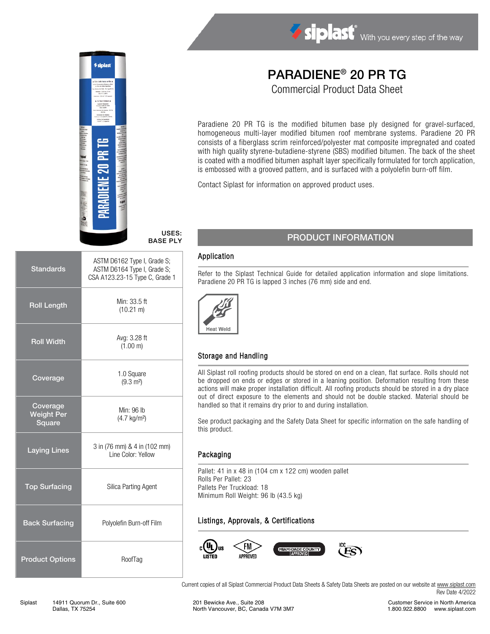

# BASE PLY

| <b>Standards</b>                        | ASTM D6162 Type I, Grade S;<br>ASTM D6164 Type I, Grade S;<br>CSA A123.23-15 Type C, Grade 1 |  |
|-----------------------------------------|----------------------------------------------------------------------------------------------|--|
| <b>Roll Length</b>                      | Min: 33.5 ft<br>$(10.21 \text{ m})$                                                          |  |
| <b>Roll Width</b>                       | Avg: 3.28 ft<br>(1.00 m)                                                                     |  |
| Coverage                                | 1.0 Square<br>$(9.3 \text{ m}^2)$                                                            |  |
| Coverage<br><b>Weight Per</b><br>Square | Min: 96 lb<br>(4.7 kg/m <sup>2</sup> )                                                       |  |
| <b>Laying Lines</b>                     | 3 in (76 mm) & 4 in (102 mm)<br>Line Color: Yellow                                           |  |
| <b>Top Surfacing</b>                    | Silica Parting Agent                                                                         |  |
| <b>Back Surfacing</b>                   | Polyolefin Burn-off Film                                                                     |  |
| <b>Product Options</b>                  | RoofTag                                                                                      |  |

# PARADIENE® 20 PR TG

Siplast With you every step of the way

Commercial Product Data Sheet

Paradiene 20 PR TG is the modified bitumen base ply designed for gravel-surfaced, homogeneous multi-layer modified bitumen roof membrane systems. Paradiene 20 PR consists of a fiberglass scrim reinforced/polyester mat composite impregnated and coated with high quality styrene-butadiene-styrene (SBS) modified bitumen. The back of the sheet is coated with a modified bitumen asphalt layer specifically formulated for torch application, is embossed with a grooved pattern, and is surfaced with a polyolefin burn-off film.

Contact Siplast for information on approved product uses.

# USES:

#### PRODUCT INFORMATION

#### Application

Refer to the Siplast Technical Guide for detailed application information and slope limitations. Paradiene 20 PR TG is lapped 3 inches (76 mm) side and end.



#### Storage and Handling

All Siplast roll roofing products should be stored on end on a clean, flat surface. Rolls should not be dropped on ends or edges or stored in a leaning position. Deformation resulting from these actions will make proper installation difficult. All roofing products should be stored in a dry place out of direct exposure to the elements and should not be double stacked. Material should be handled so that it remains dry prior to and during installation.

See product packaging and the Safety Data Sheet for specific information on the safe handling of this product.

#### Packaging

Pallet: 41 in x 48 in (104 cm x 122 cm) wooden pallet Rolls Per Pallet: 23 Pallets Per Truckload: 18 Minimum Roll Weight: 96 lb (43.5 kg)

#### Listings, Approvals, & Certifications



Current copies of all Siplast Commercial Product Data Sheets & Safety Data Sheets are posted on our website a[t www.siplast.com](http://www.siplast.com/) Rev Date 4/2022